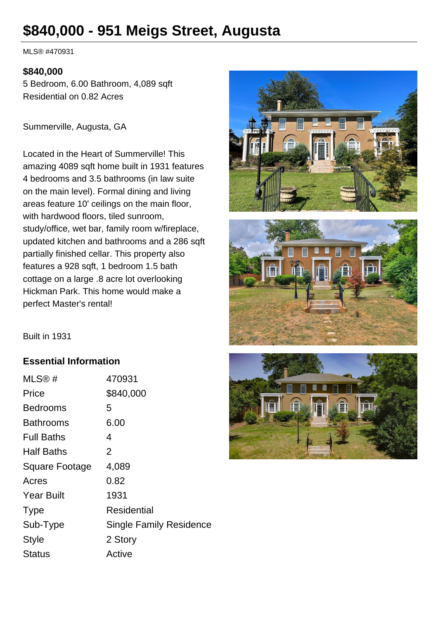# **\$840,000 - 951 Meigs Street, Augusta**

MLS® #470931

#### **\$840,000**

5 Bedroom, 6.00 Bathroom, 4,089 sqft Residential on 0.82 Acres

Summerville, Augusta, GA

Located in the Heart of Summerville! This amazing 4089 sqft home built in 1931 features 4 bedrooms and 3.5 bathrooms (in law suite on the main level). Formal dining and living areas feature 10' ceilings on the main floor, with hardwood floors, tiled sunroom, study/office, wet bar, family room w/fireplace, updated kitchen and bathrooms and a 286 sqft partially finished cellar. This property also features a 928 sqft, 1 bedroom 1.5 bath cottage on a large .8 acre lot overlooking Hickman Park. This home would make a perfect Master's rental!





Built in 1931

#### **Essential Information**

| MLS@#                 | 470931                         |
|-----------------------|--------------------------------|
| Price                 | \$840,000                      |
| Bedrooms              | 5                              |
| Bathrooms             | 6.00                           |
| <b>Full Baths</b>     | 4                              |
| <b>Half Baths</b>     | 2                              |
| <b>Square Footage</b> | 4,089                          |
| Acres                 | 0.82                           |
| <b>Year Built</b>     | 1931                           |
| <b>Type</b>           | Residential                    |
| Sub-Type              | <b>Single Family Residence</b> |
| <b>Style</b>          | 2 Story                        |
| Status                | Active                         |

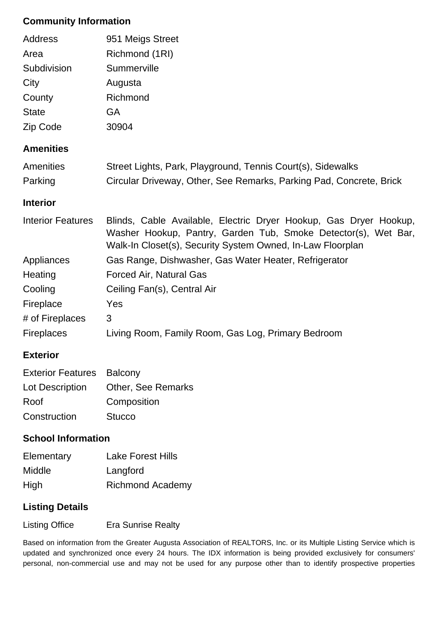#### **Community Information**

| Address                  | 951 Meigs Street                                                                                                                                                                                  |
|--------------------------|---------------------------------------------------------------------------------------------------------------------------------------------------------------------------------------------------|
| Area                     | Richmond (1RI)                                                                                                                                                                                    |
| Subdivision              | Summerville                                                                                                                                                                                       |
| City                     | Augusta                                                                                                                                                                                           |
| County                   | Richmond                                                                                                                                                                                          |
| <b>State</b>             | <b>GA</b>                                                                                                                                                                                         |
| Zip Code                 | 30904                                                                                                                                                                                             |
| <b>Amenities</b>         |                                                                                                                                                                                                   |
| Amenities                | Street Lights, Park, Playground, Tennis Court(s), Sidewalks                                                                                                                                       |
| Parking                  | Circular Driveway, Other, See Remarks, Parking Pad, Concrete, Brick                                                                                                                               |
| <b>Interior</b>          |                                                                                                                                                                                                   |
| <b>Interior Features</b> | Blinds, Cable Available, Electric Dryer Hookup, Gas Dryer Hookup,<br>Washer Hookup, Pantry, Garden Tub, Smoke Detector(s), Wet Bar,<br>Walk-In Closet(s), Security System Owned, In-Law Floorplan |
| Appliances               | Gas Range, Dishwasher, Gas Water Heater, Refrigerator                                                                                                                                             |
| Heating                  | <b>Forced Air, Natural Gas</b>                                                                                                                                                                    |
| Cooling                  | Ceiling Fan(s), Central Air                                                                                                                                                                       |
| Fireplace                | Yes                                                                                                                                                                                               |
| # of Fireplaces          | 3                                                                                                                                                                                                 |
|                          |                                                                                                                                                                                                   |
| <b>Fireplaces</b>        | Living Room, Family Room, Gas Log, Primary Bedroom                                                                                                                                                |

### **Exterior**

| <b>Exterior Features Balcony</b> |                                    |
|----------------------------------|------------------------------------|
|                                  | Lot Description Other, See Remarks |
| Roof                             | Composition                        |
| Construction                     | <b>Stucco</b>                      |

#### **School Information**

| Elementary    | <b>Lake Forest Hills</b> |
|---------------|--------------------------|
| <b>Middle</b> | Langford                 |
| High          | <b>Richmond Academy</b>  |

## **Listing Details**

Listing Office Era Sunrise Realty

Based on information from the Greater Augusta Association of REALTORS, Inc. or its Multiple Listing Service which is updated and synchronized once every 24 hours. The IDX information is being provided exclusively for consumers' personal, non-commercial use and may not be used for any purpose other than to identify prospective properties